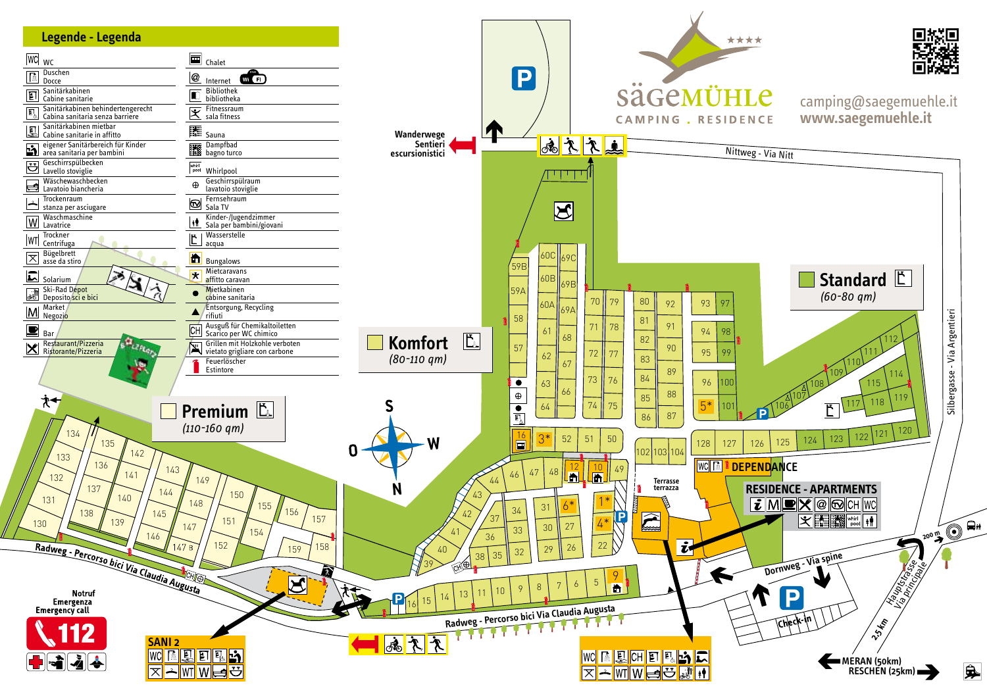